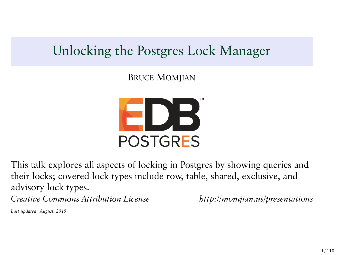# Unlocking the Postgres Lock Manager

BRUCE MOMJIAN



This talk explores all aspects of locking in Postgres by showing queries and their locks; covered lock types include row, table, shared, exclusive, and advisory lock types. *Creative Commons Attribution License http://momjian.us/presentations*

*Last updated: August, 2019*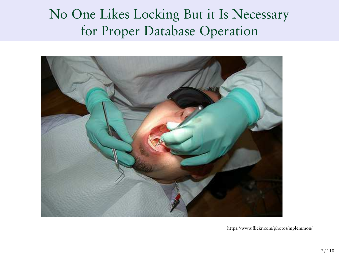# No One Likes Locking But it Is Necessary for Proper Database Operation



https://www.flickr.com/photos/mplemmon/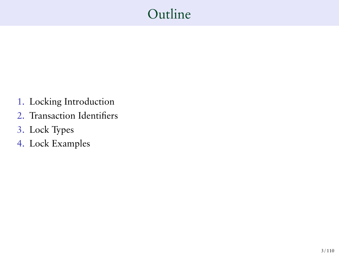# Outline

- 1. Locking Introduction
- 2. Transaction Identifiers
- 3. Lock Types
- 4. Lock Examples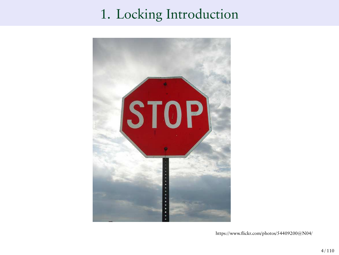# 1. Locking Introduction



https://www.flickr.com/photos/54409200@N04/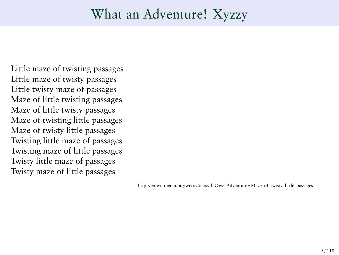## What an Adventure! Xyzzy

Little maze of twisting passages Little maze of twisty passages Little twisty maze of passages Maze of little twisting passages Maze of little twisty passages Maze of twisting little passages Maze of twisty little passages Twisting little maze of passages Twisting maze of little passages Twisty little maze of passages Twisty maze of little passages

http://en.wikipedia.org/wiki/Colossal\_Cave\_Adventure#Maze\_of\_twisty\_little\_passages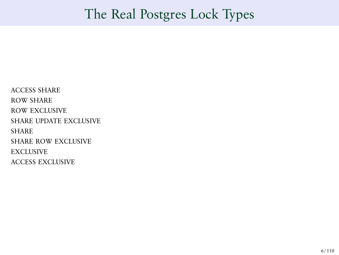## The Real Postgres Lock Types

ACCESS SHARE ROW SHARE ROW EXCLUSIVE SHARE UPDATE EXCLUSIVE **SHARE** SHARE ROW EXCLUSIVE **EXCLUSIVE** ACCESS EXCLUSIVE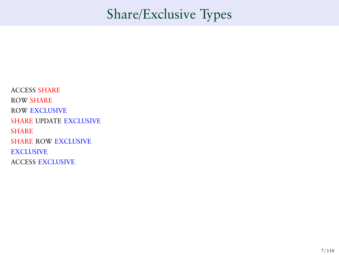# Share/Exclusive Types

ACCESS SHARE ROW SHARE ROW EXCLUSIVE SHARE UPDATE EXCLUSIVE **SHARE** SHARE ROW EXCLUSIVE **EXCLUSIVE** ACCESS EXCLUSIVE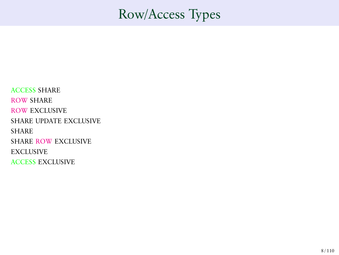## Row/Access Types

ACCESS SHARE ROW SHARE ROW EXCLUSIVE SHARE UPDATE EXCLUSIVE **SHARE** SHARE ROW EXCLUSIVE **EXCLUSIVE** ACCESS EXCLUSIVE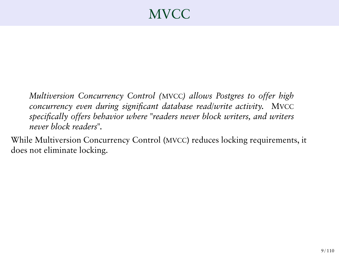# MVCC

*Multiversion Concurrency Control (*MVCC*) allows Postgres to offer high concurrency even during significant database read/write activity.* MVCC *specifically offers behavior where "readers never block writers, and writers never block readers".*

While Multiversion Concurrency Control (MVCC) reduces locking requirements, it does not eliminate locking.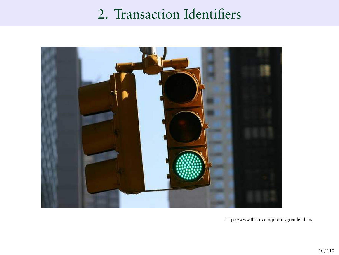# 2. Transaction Identifiers



https://www.flickr.com/photos/grendelkhan/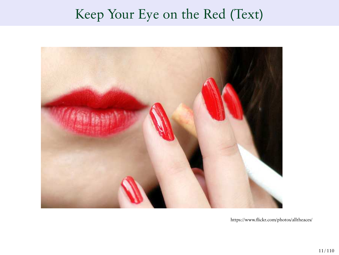# Keep Your Eye on the Red (Text)



https://www.flickr.com/photos/alltheaces/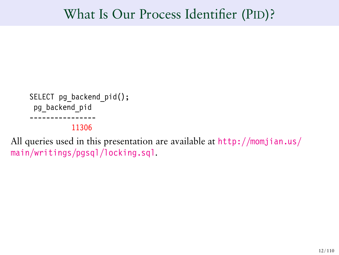### What Is Our Process Identifier (PID)?

```
SELECT pg backend pid();
 pg_backend_pid
----------------
```
11306

All queries used in this presentation are available at [http://momjian.us/](http://momjian.us/main/writings/pgsql/locking.sql) [main/writings/pgsql/locking.sql](http://momjian.us/main/writings/pgsql/locking.sql).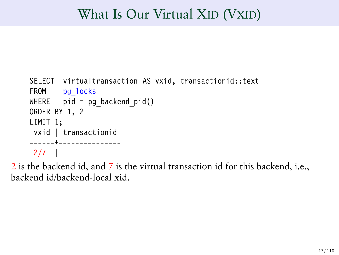## What Is Our Virtual XID (VXID)

```
SELECT virtualtransaction AS vxid, transactionid::text
FROM pg locks
WHERE pid = pg backend pid()ORDER BY 1, 2
LIMIT 1;
vxid | transactionid
------+---------------
2/7 |
```
2 is the backend id, and 7 is the virtual transaction id for this backend, i.e., backend id/backend-local xid.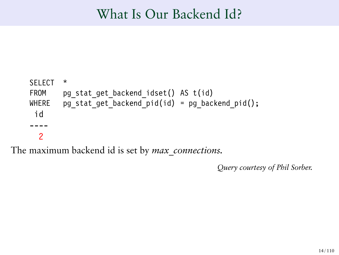## What Is Our Backend Id?

```
SELECT *
    FROM pg stat get backend idset() AS t(id)
    WHERE pg stat_get_backend_pid(id) = pg_backend_pid();
     id
      ----
      2
The maximum backend id is set by max_connections.
```
*Query courtesy of Phil Sorber.*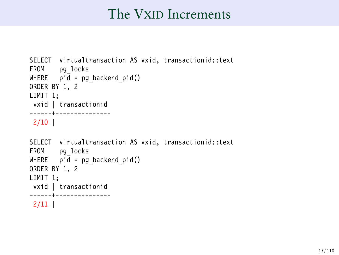### The VXID Increments

```
SELECT virtualtransaction AS vxid, transactionid::text
FROM pg_locks
WHERE pid = pg backend pid()ORDER BY 1, 2
LIMIT 1;
vxid | transactionid
------+---------------
2/10 |
SELECT virtualtransaction AS vxid, transactionid::text
FROM pg_locks
WHERE pid = pg backend pid()ORDER BY 1, 2
LIMIT 1;
vxid | transactionid
------+---------------
2/11 |
```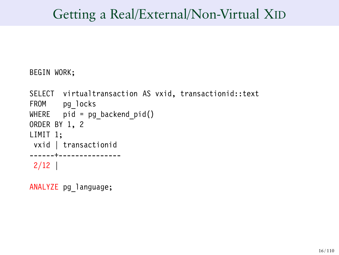## Getting a Real/External/Non-Virtual XID

BEGIN WORK;

```
SELECT virtualtransaction AS vxid, transactionid::text
FROM pg locks
WHERE pid = pg backend pid()ORDER BY 1, 2
LIMIT 1;
vxid | transactionid
------+---------------
2/12 |
```
ANALYZE pg\_language;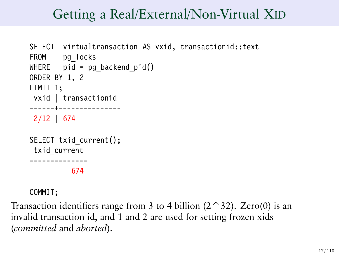## Getting a Real/External/Non-Virtual XID

```
SELECT virtualtransaction AS vxid, transactionid::text
FROM pg_locks
WHERE pid = pg backend pid()ORDER BY 1, 2
LIMIT 1;
vxid | transactionid
------+---------------
2/12 | 674
SELECT txid current();
 txid_current
 --------------
          674
```
COMMIT;

Transaction identifiers range from 3 to 4 billion  $(2 \n<sup>2</sup>32)$ . Zero(0) is an invalid transaction id, and 1 and 2 are used for setting frozen xids (*committed* and *aborted*).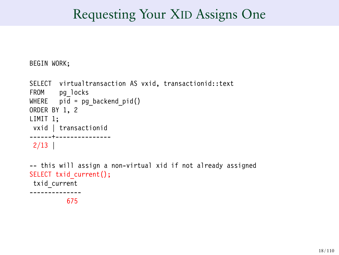## Requesting Your XID Assigns One

BEGIN WORK;

```
SELECT virtualtransaction AS vxid, transactionid::text
FROM pg_locks
WHERE pid = pg_backend_pid()
ORDER BY 1, 2
LIMIT 1;
vxid | transactionid
------+---------------
2/13 |
-- this will assign a non-virtual xid if not already assigned
SELECT txid current();
txid_current
         675
```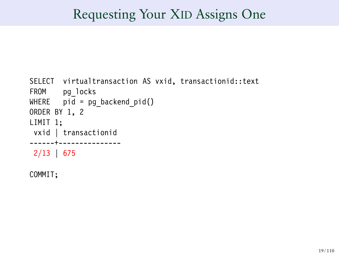## Requesting Your XID Assigns One

```
SELECT virtualtransaction AS vxid, transactionid::text
FROM pg locks
WHERE pid = pg backend pid()ORDER BY 1, 2
LIMIT 1;
vxid | transactionid
------+---------------
2/13 | 675
```
COMMIT;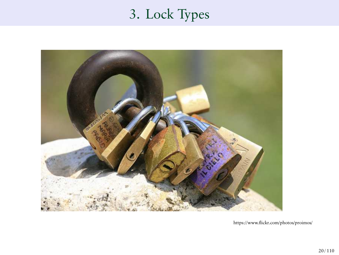# 3. Lock Types



https://www.flickr.com/photos/proimos/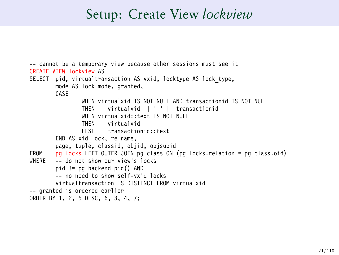### Setup: Create View *lockview*

```
-- cannot be a temporary view because other sessions must see it
CREATE VIEW lockview AS
SELECT pid, virtualtransaction AS vxid, locktype AS lock type,
       mode AS lock mode, granted.
       CASE
               WHEN virtualxid IS NOT NULL AND transactionid IS NOT NULL
               THEN virtualxid || ' ' || transactionid
               WHEN virtualxid: text IS NOT NULL
               THEN virtualxid
               ELSE transactionid::text
        END AS xid_lock, relname,
       page, tuple, classid, objid, objsubid
FROM pg_locks LEFT OUTER JOIN pg_class ON (pg_locks.relation = pg_class.oid)
       - do not show our view's locks
       pid != pg_backend_pid() AND
       - no need to show self-vxid locks
       virtualtransaction IS DISTINCT FROM virtualxid
-- granted is ordered earlier
ORDER BY 1, 2, 5 DESC, 6, 3, 4, 7;
```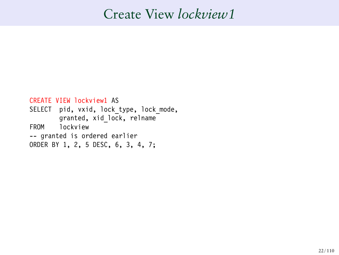## Create View *lockview1*

```
CREATE VIEW lockview1 AS
SELECT pid, vxid, lock type, lock mode,
       granted, xid_lock, relname
FROM lockview
-- granted is ordered earlier
ORDER BY 1, 2, 5 DESC, 6, 3, 4, 7;
```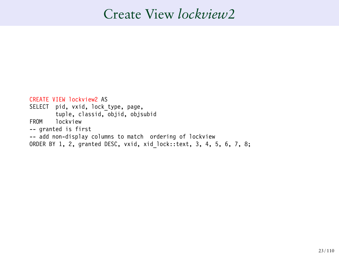### Create View *lockview2*

```
CREATE VIEW lockview2 AS
SELECT pid, vxid, lock type, page,
       tuple, classid, objid, objsubid
FROM lockview
-- granted is first
-- add non-display columns to match ordering of lockview
ORDER BY 1, 2, granted DESC, vxid, xid_lock::text, 3, 4, 5, 6, 7, 8;
```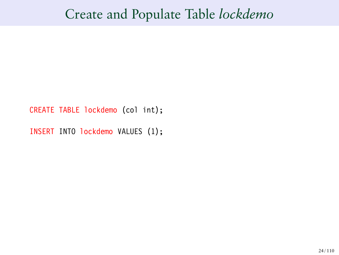### Create and Populate Table *lockdemo*

CREATE TABLE lockdemo (col int);

INSERT INTO lockdemo VALUES (1);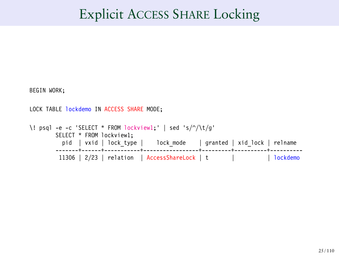### Explicit ACCESS SHARE Locking

BEGIN WORK;

LOCK TABLE lockdemo IN ACCESS SHARE MODE;

\! psql -e -c 'SELECT \* FROM lockview1;' | sed 's/^/\t/g' SELECT \* FROM lockview1; pid | vxid | lock\_type | lock\_mode | granted | xid\_lock | relname -------+------+-----------+-----------------+---------+----------+---------- 11306 | 2/23 | relation | AccessShareLock | t | | | | | | | | lockdemo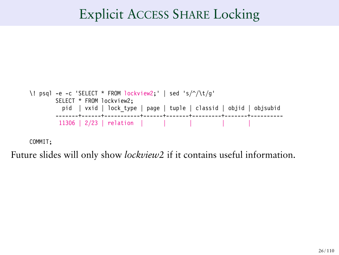### Explicit ACCESS SHARE Locking

```
\! psql -e -c 'SELECT * FROM lockview2;' | sed 's/^/\t/g'
         SELECT * FROM lockview2;
           pid | vxid | lock_type | page | tuple | classid | objid | objsubid
         -------+------+-----------+------+-------+---------+-------+----------
11306 | 2/23 | relation | | | | |
```
COMMIT;

Future slides will only show *lockview2* if it contains useful information.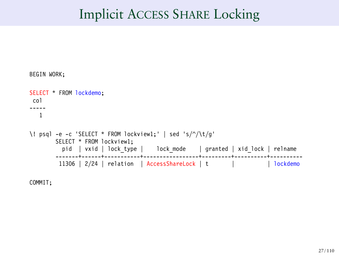### Implicit ACCESS SHARE Locking

```
BEGIN WORK;
SELECT * FROM lockdemo;
 col
-----
  1
\! psql -e -c 'SELECT * FROM lockview1;' | sed 's/^/\t/g'
       SELECT * FROM lockview1;
         pid | vxid | lock_type | lock_mode | granted | xid_lock | relname
        -------+------+-----------+-----------------+---------+----------+----------
        11306 | 2/24 | relation | AccessShareLock | t | | lockdemo
```
COMMIT;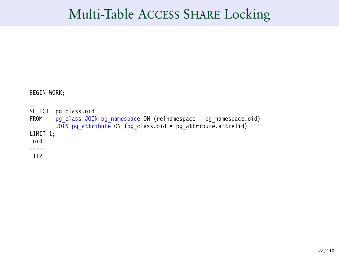### Multi-Table ACCESS SHARE Locking

BEGIN WORK;

```
SELECT pg_class.oid<br>FROM pg_class_JOI
         pg_class JOIN pg_namespace ON (relnamespace = pg_namespace.oid)
         JOIN pg_attribute ON (pg_class.oid = pg_attribute.attrelid)
LIMIT 1;
 oid
-----
112
```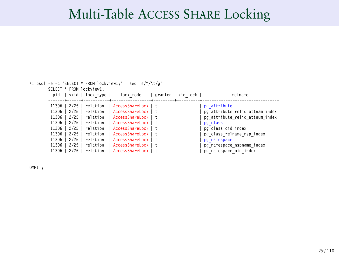# Multi-Table ACCESS SHARE Locking

|                          | \! psql -e -c 'SELECT * FROM lockview1;'   sed 's/^/\t/q' |                     |  |                    |                                 |
|--------------------------|-----------------------------------------------------------|---------------------|--|--------------------|---------------------------------|
| SELECT * FROM lockview1; |                                                           |                     |  |                    |                                 |
|                          | pid   vxid   lock type                                    | lock mode           |  | granted   xid lock | relname                         |
|                          |                                                           |                     |  |                    |                                 |
|                          | 11306   2/25   relation                                   | AccessShareLock Lt  |  |                    | pg attribute                    |
|                          | 11306   2/25   relation                                   | AccessShareLock   t |  |                    | pg attribute relid attnam index |
|                          | 11306   2/25   relation                                   | AccessShareLock   t |  |                    | pg attribute relid attnum index |
|                          | 11306   2/25   relation                                   | AccessShareLock   t |  |                    | pg class                        |
| $11306$   2/25           | relation                                                  | AccessShareLock   t |  |                    | pg class oid index              |
| $11306$   2/25           | relation                                                  | AccessShareLock   t |  |                    | pg class relname nsp index      |
| 11306   2/25             | relation                                                  | AccessShareLock   t |  |                    | pq namespace                    |
| 11306   2/25             | relation                                                  | AccessShareLock   t |  |                    | pg namespace nspname index      |
| $11306$   2/25           | relation                                                  | AccessShareLock   t |  |                    | pg namespace oid index          |

OMMIT;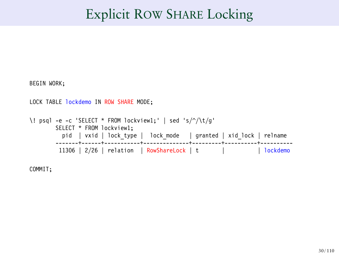### Explicit ROW SHARE Locking

```
BEGIN WORK;
LOCK TABLE lockdemo IN ROW SHARE MODE;
\! psql -e -c 'SELECT * FROM lockview1;' | sed 's/^/\t/g'
         SELECT * FROM lockview1;
          pid | vxid | lock_type | lock_mode | granted | xid_lock | relname
-------+------+-----------+--------------+---------+----------+----------
          11306 | 2/26 | relation | RowShareLock | t | | lockdemo
```
COMMIT;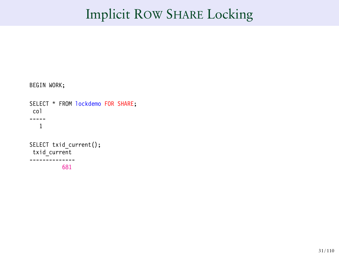## Implicit ROW SHARE Locking

```
BEGIN WORK;
SELECT * FROM lockdemo FOR SHARE;
col
-----
   1
SELECT txid current();
txid_current
--------------
           681
```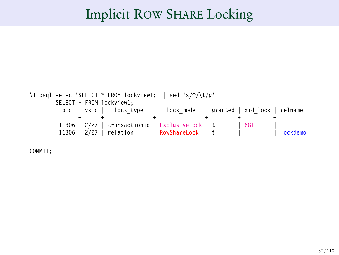### Implicit ROW SHARE Locking



COMMIT;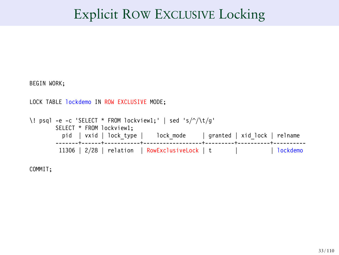## Explicit ROW EXCLUSIVE Locking

```
BEGIN WORK;
LOCK TABLE lockdemo IN ROW EXCLUSIVE MODE;
\! psql -e -c 'SELECT * FROM lockview1;' | sed 's/^/\t/g'
         SELECT * FROM lockview1;
          pid | vxid | lock_type | lock_mode | granted | xid_lock | relname
-------+------+-----------+------------------+---------+----------+----------
           11306 | 2/28 | relation | RowExclusiveLock | t | | lockdemo
```
COMMIT;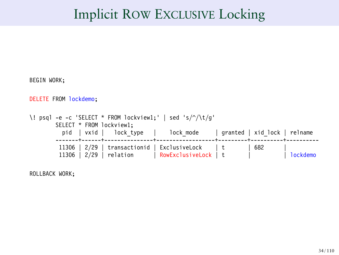## Implicit ROW EXCLUSIVE Locking

```
BEGIN WORK;
DELETE FROM lockdemo;
\! psql -e -c 'SELECT * FROM lockview1;' | sed 's/^/\t/g'
        SELECT * FROM lockview1;
          pid | vxid | lock type | lock mode | granted | xid lock | relname
         -------+------+---------------+------------------+---------+----------+----------
11306 | 2/29 | transactionid | ExclusiveLock | t | 682 |
         11306 | 2/29 | relation | RowExclusiveLock | t | | lockdemo
```
ROLLBACK WORK;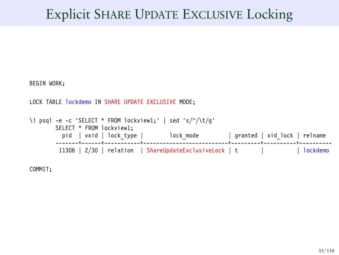# Explicit SHARE UPDATE EXCLUSIVE Locking

```
BEGIN WORK;
LOCK TABLE lockdemo IN SHARE UPDATE EXCLUSIVE MODE:
\! psql -e -c 'SELECT * FROM lockview1;' | sed 's/^/\t/g'
         SELECT * FROM lockview1;
         pid | vxid | lock_type | lock_mode | granted | xid_lock | relname
-------+------+-----------+--------------------------+---------+----------+----------
          11306 | 2/30 | relation | ShareUpdateExclusiveLock | t | | lockdemo
```
COMMIT;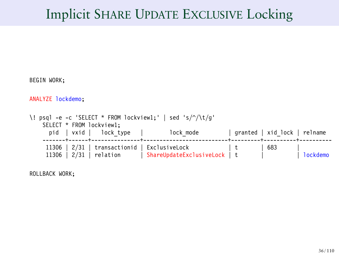# Implicit SHARE UPDATE EXCLUSIVE Locking

```
BEGIN WORK;
ANALYZE lockdemo;
\! psql -e -c 'SELECT * FROM lockview1;' | sed 's/^/\t/g'
    SELECT * FROM lockview1;<br>pid | vxid | lock t
                        lock_type | lock_mode | granted | xid_lock | relname
     -------+------+---------------+--------------------------+---------+----------+----------
11306 | 2/31 | transactionid | ExclusiveLock | t | 683 |
     11306 | 2/31 | relation | ShareUpdateExclusiveLock | t | | lockdemo
```
ROLLBACK WORK;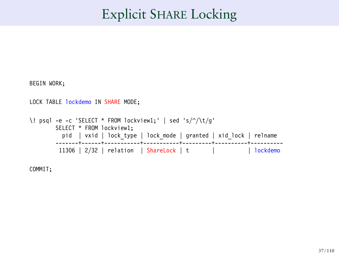# Explicit SHARE Locking

```
BEGIN WORK;
LOCK TABLE lockdemo IN SHARE MODE;
\! psql -e -c 'SELECT * FROM lockview1;' | sed 's/^/\t/g'
         SELECT * FROM lockview1;
          pid | vxid | lock_type | lock_mode | granted | xid_lock | relname
-------+------+-----------+-----------+---------+----------+----------
          11306 | 2/32 | relation | ShareLock | t | | lockdemo
```
COMMIT;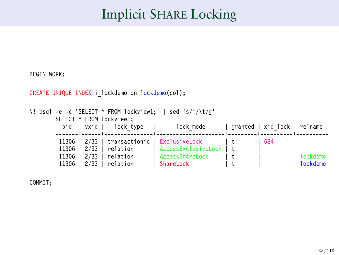# Implicit SHARE Locking

```
CREATE UNIQUE INDEX i lockdemo on lockdemo(col);
\! psql -e -c 'SELECT * FROM lockview1;' | sed 's/^/\t/g'
        SELECT * FROM lockview1;<br>pid | vxid | lock type
           pid | vxid | lock_type | lock_mode | granted | xid_lock | relname
         -------+------+---------------+---------------------+---------+----------+----------
         11306 | 2/33 | transactionid | ExclusiveLock | t | 684<br>11306 | 2/33 | relation | AccessExclusiveLock | t |
         11306 | 2/33 | relation | AccessExclusiveLock<br>11306 | 2/33 | relation | AccessShareLock
         11306 | 2/33 | relation | AccessShareLock | t | | lockdemo
          11306 | 2/33 | relation | ShareLock | t | | lockdemo
```
COMMIT;

BEGIN WORK;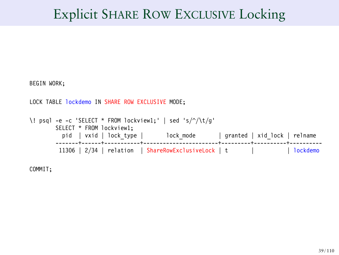## Explicit SHARE ROW EXCLUSIVE Locking

```
BEGIN WORK;
LOCK TABLE lockdemo IN SHARE ROW EXCLUSIVE MODE;
\! psql -e -c 'SELECT * FROM lockview1;' | sed 's/^/\t/g'
         SELECT * FROM lockview1;
         pid | vxid | lock_type | lock_mode | granted | xid_lock | relname
-------+------+-----------+-----------------------+---------+----------+----------
          11306 | 2/34 | relation | ShareRowExclusiveLock | t | | lockdemo
```
COMMIT;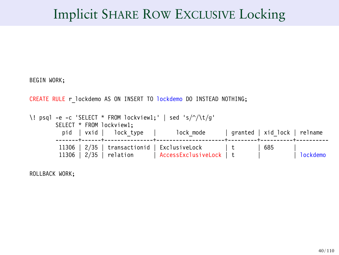## Implicit SHARE ROW EXCLUSIVE Locking

BEGIN WORK;

CREATE RULE r lockdemo AS ON INSERT TO lockdemo DO INSTEAD NOTHING;

```
\! psql -e -c 'SELECT * FROM lockview1;' | sed 's/^/\t/g'
        SELECT * FROM lockview1;
          pid | vxid | lock_type | lock_mode | granted | xid_lock | relname
        -------+------+---------------+---------------------+---------+----------+----------
11306 | 2/35 | transactionid | ExclusiveLock | t | 685 |
         11306 | 2/35 | relation | AccessExclusiveLock | t | | lockdemo
```
ROLLBACK WORK;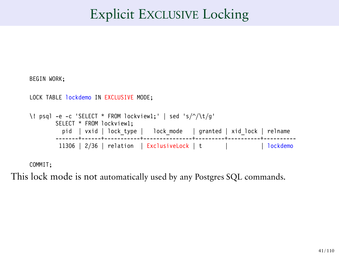# Explicit EXCLUSIVE Locking

```
BEGIN WORK;
LOCK TABLE lockdemo IN EXCLUSIVE MODE;
\! psql -e -c 'SELECT * FROM lockview1;' | sed 's/^/\t/g'
         SELECT * FROM lockview1;
          pid | vxid | lock_type | lock_mode | granted | xid_lock | relname
-------+------+-----------+---------------+---------+----------+----------
          11306 | 2/36 | relation | ExclusiveLock | t | | lockdemo
```
COMMIT;

This lock mode is not automatically used by any Postgres SQL commands.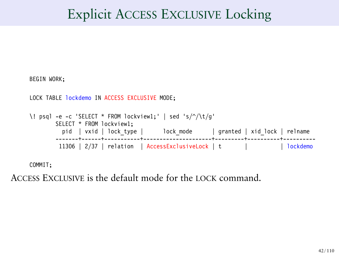## Explicit ACCESS EXCLUSIVE Locking

```
BEGIN WORK;
LOCK TABLE lockdemo IN ACCESS EXCLUSIVE MODE;
\! psql -e -c 'SELECT * FROM lockview1;' | sed 's/^/\t/g'
         SELECT * FROM lockview1;
         pid | vxid | lock_type | lock_mode | granted | xid_lock | relname
-------+------+-----------+---------------------+---------+----------+----------
          11306 | 2/37 | relation | AccessExclusiveLock | t | | lockdemo
```
COMMIT;

ACCESS EXCLUSIVE is the default mode for the LOCK command.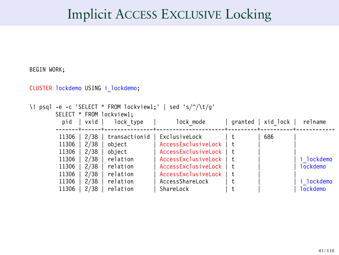## Implicit ACCESS EXCLUSIVE Locking

BEGIN WORK;

CLUSTER lockdemo USING i\_lockdemo;

```
\! psql -e -c 'SELECT * FROM lockview1;' | sed 's/^/\t/g'
```
SELECT \* FROM lockview1;

| pid   | vxid | lock type     | lock mode           | granted | xid lock | relname  |
|-------|------|---------------|---------------------|---------|----------|----------|
| 11306 | 2/38 | transactionid | ExclusiveLock       |         | 686      |          |
| 11306 | 2/38 | object        | AccessExclusiveLock | t       |          |          |
| 11306 | 2/38 | object        | AccessExclusiveLock | t.      |          |          |
| 11306 | 2/38 | relation      | AccessExclusiveLock | t.      |          | lockdemo |
| 11306 | 2/38 | relation      | AccessExclusiveLock | t       |          | lockdemo |
| 11306 | 2/38 | relation      | AccessExclusiveLock | t.      |          |          |
| 11306 | 2/38 | relation      | AccessShareLock     |         |          | lockdemo |
| 11306 | 2/38 | relation      | ShareLock           |         |          | lockdemo |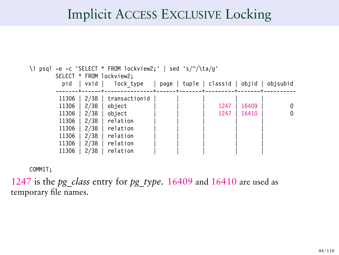## Implicit ACCESS EXCLUSIVE Locking

| \! psql -e -c 'SELECT * FROM lockview2;'   sed 's/^/\ta/q' |      |                              |  |  |                                           |       |   |
|------------------------------------------------------------|------|------------------------------|--|--|-------------------------------------------|-------|---|
| SELECT * FROM lockview2;                                   |      |                              |  |  |                                           |       |   |
| pid                                                        | vxid | lock type                    |  |  | page   tuple   classid   objid   objsubid |       |   |
|                                                            |      | -------+------+------------- |  |  |                                           |       |   |
| 11306                                                      | 2/38 | transactionid                |  |  |                                           |       |   |
| 11306                                                      | 2/38 | object                       |  |  | 1247                                      | 16409 | 0 |
| 11306                                                      | 2/38 | object                       |  |  | 1247                                      | 16410 | 0 |
| 11306                                                      | 2/38 | relation                     |  |  |                                           |       |   |
| 11306                                                      | 2/38 | relation                     |  |  |                                           |       |   |
| 11306                                                      | 2/38 | relation                     |  |  |                                           |       |   |
| 11306                                                      | 2/38 | relation                     |  |  |                                           |       |   |
| 11306                                                      | 2/38 | relation                     |  |  |                                           |       |   |

COMMIT;

1247 is the *pg\_class* entry for *pg\_type*. 16409 and 16410 are used as temporary file names.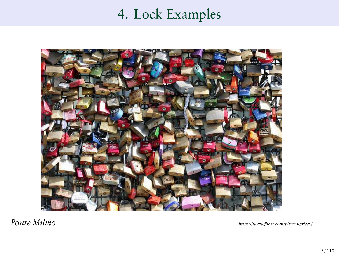# 4. Lock Examples



*Ponte Milvio https://www.flickr.com/photos/pricey/*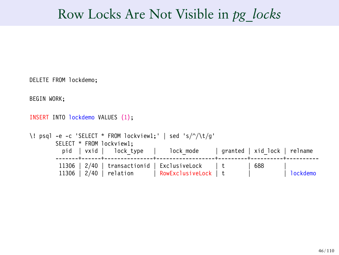## Row Locks Are Not Visible in *pg\_locks*

```
DELETE FROM lockdemo;
BEGIN WORK;
INSERT INTO lockdemo VALUES (1);
\! psql -e -c 'SELECT * FROM lockview1;' | sed 's/^/\t/g'
       SELECT * FROM lockview1;<br>pid | vxid | lock t
                       lock_type | lock_mode | granted | xid_lock | relname
        -------+------+---------------+------------------+---------+----------+----------
        11306 | 2/40 | transactionid | ExclusiveLock | t | 688
        11306 | 2/40 | relation | RowExclusiveLock | t | | | | | | lockdemo
```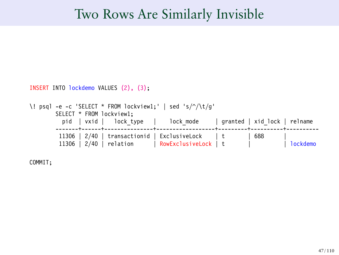#### Two Rows Are Similarly Invisible

```
INSERT INTO lockdemo VALUES (2), (3);
```

```
\! psql -e -c 'SELECT * FROM lockview1;' | sed 's/^/\t/g'
        SELECT * FROM lockview1;
          pid | vxid | lock_type | lock_mode | granted | xid_lock | relname
                               -------+------+---------------+------------------+---------+----------+----------
         11306 | 2/40 | transactionid | ExclusiveLock | t
         11306 | 2/40 | relation | RowExclusiveLock | t | | lockdemo
```
COMMIT;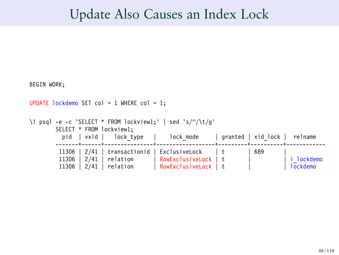#### Update Also Causes an Index Lock

```
BEGIN WORK;
UPDATE lockdemo SET col = 1 WHERE col = 1;
\! psql -e -c 'SELECT * FROM lockview1;' | sed 's/^/\t/g'
        SELECT * FROM lockview1;<br>pid | vxid | lock type
                                              lock mode | granted | xid lock | relname
         -------+------+---------------+------------------+---------+----------+------------
         11306 | 2/41 | transactionid | ExclusiveLock | t | 689<br>11306 | 2/41 | relation | RowExclusiveLock | t |
         11306 | 2/41 | relation | RowExclusiveLock | t | | i_lockdemo
                                          | RowExclusiveLock | t
```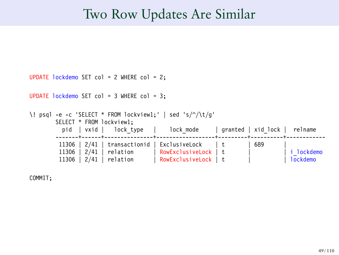#### Two Row Updates Are Similar

```
UPDATE lockdemo SET col = 2 WHERE col = 2;
UPDATE lockdemo SET col = 3 WHERE col = 3:
\! psql -e -c 'SELECT * FROM lockview1;' | sed 's/^/\t/g'
       SELECT * FROM lockview1;<br>pid | vxid | lock t
                         lock_type | lock_mode | granted | xid_lock | relname
        -------+------+---------------+------------------+---------+----------+------------
         11306 | 2/41 | transactionid | ExclusiveLock | t | 689
        11306 | 2/41 | relation | RowExclusiveLock | t | | i_lockdemo
        11306 \mid 2/41 \mid relation
```
COMMIT;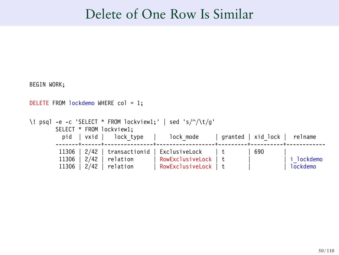#### Delete of One Row Is Similar

BEGIN WORK; DELETE FROM lockdemo WHERE col = 1: \! psql -e -c 'SELECT \* FROM lockview1;' | sed 's/^/\t/g' SELECT \* FROM lockview1;<br>pid | vxid | lock t  $lock type$  | lock mode | granted | xid lock | relname -------+------+---------------+------------------+---------+----------+------------ 11306 |  $2/42$  | transactionid | ExclusiveLock | t | 690<br>11306 |  $2/42$  | relation | RowExclusiveLock | t | 11306 | 2/42 | relation | RowExclusiveLock | t | | i\_lockdemo  $|$  RowExclusiveLock  $|$  t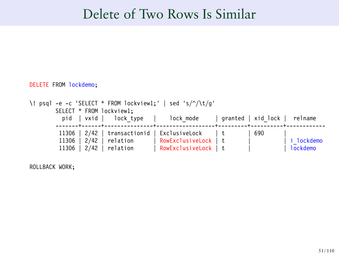## Delete of Two Rows Is Similar

#### DELETE FROM lockdemo;

|  | \! psql -e -c 'SELECT * FROM lockview1;'   sed 's/ $\sqrt{(t/q)}$<br>SELECT * FROM lockview1; |                           |                                                                            |  |     |            |  |  |
|--|-----------------------------------------------------------------------------------------------|---------------------------|----------------------------------------------------------------------------|--|-----|------------|--|--|
|  |                                                                                               |                           | pid   vxid   lock type   lock mode   granted   xid lock   relname          |  |     |            |  |  |
|  |                                                                                               | 11306   $2/42$   relation | 11306   2/42   transactionid   ExclusiveLock   t<br>  RowExclusiveLock   t |  | 690 | i lockdemo |  |  |
|  |                                                                                               | $11306$   2/42   relation | RowExclusiveLock   t                                                       |  |     | l lockdemo |  |  |

ROLLBACK WORK;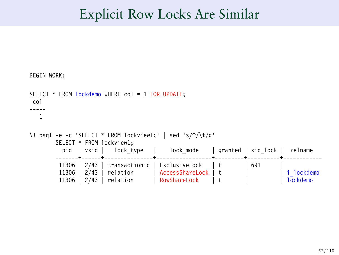### Explicit Row Locks Are Similar

```
BEGIN WORK;
SELECT * FROM lockdemo WHERE col = 1 FOR UPDATE:
col
-----
   1
\! psql -e -c 'SELECT * FROM lockview1;' | sed 's/^/\t/g'
        SELECT * FROM lockview1;<br>pid | vxid | lock t
                          lock_type | lock_mode | granted | xid_lock | relname
           -------+------+---------------+-----------------+---------+----------+------------
         11306 | 2/43 | transactionid | ExclusiveLock | t
         11306 | 2/43 | relation | AccessShareLock | t | | i_lockdemo
         11306 | 2/43 | relation
```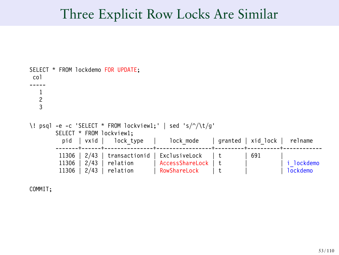#### Three Explicit Row Locks Are Similar

```
SELECT * FROM lockdemo FOR UPDATE;
col
-----
   1
   2
3
\! psql -e -c 'SELECT * FROM lockview1;' | sed 's/^/\t/g'
        SELECT * FROM lockview1;<br>pid | vxid | lock type
           pid | vxid | lock_type | lock_mode | granted | xid_lock | relname
         -------+------+---------------+-----------------+---------+----------+------------
         11306 | 2/43 | transactionid | ExclusiveLock | t | 691<br>11306 | 2/43 | relation | AccessShareLock | t |
         11306 | 2/43 | relation | AccessShareLock | t | | i_lockdemo
                                           RowShareLock
```
COMMIT;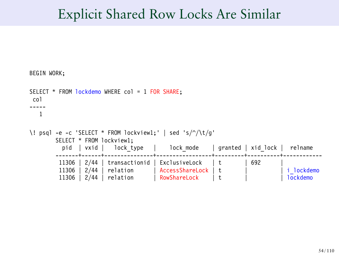## Explicit Shared Row Locks Are Similar

```
BEGIN WORK;
SELECT * FROM lockdemo WHERE col = 1 FOR SHARE:
 col
-----
   1
\! psql -e -c 'SELECT * FROM lockview1;' | sed 's/^/\t/g'
        SELECT * FROM lockview1;<br>pid | vxid | lock type
                                              lock mode | granted | xid lock | relname
         -------+------+---------------+-----------------+---------+----------+------------
          11306 | 2/44 | transactionid | ExclusiveLock | t | 692<br>11306 | 2/44 | relation | AccessShareLock | t |
          11306 | 2/44 | relation | AccessShareLock | t | | i_lockdemo
                                            RowShareLock
```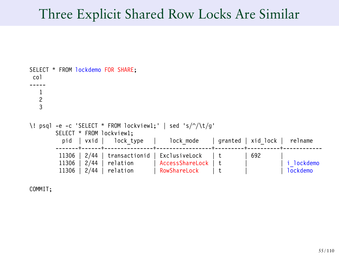#### Three Explicit Shared Row Locks Are Similar

```
SELECT * FROM lockdemo FOR SHARE;
col
-----
   1
   2
3
\! psql -e -c 'SELECT * FROM lockview1;' | sed 's/^/\t/g'
        SELECT * FROM lockview1;<br>pid | vxid | lock type
           pid | vxid | lock_type | lock_mode | granted | xid_lock | relname
         -------+------+---------------+-----------------+---------+----------+------------
         11306 | 2/44 | transactionid | ExclusiveLock | t | 692<br>11306 | 2/44 | relation | AccessShareLock | t |
         11306 | 2/44 | relation | AccessShareLock | t | | i_lockdemo
                                           RowShareLock
```
COMMIT;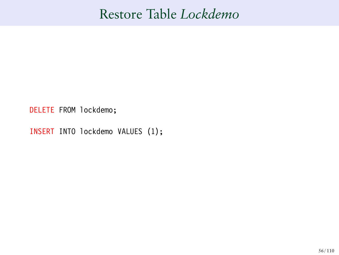## Restore Table *Lockdemo*

DELETE FROM lockdemo;

INSERT INTO lockdemo VALUES (1);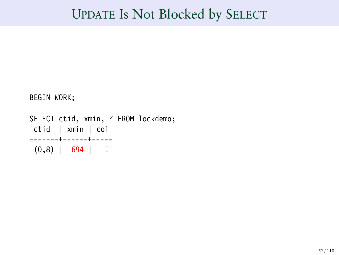```
BEGIN WORK;
```

```
SELECT ctid, xmin, * FROM lockdemo;
ctid | xmin | col
-------+------+-----
 (0,8) | 694 | 1
```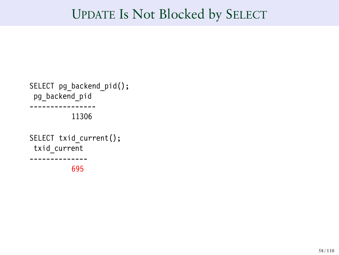```
SELECT pg_backend_pid();
 pg_backend_pid
 ----------------
           11306
SELECT txid current();
 txid_current
  --------------
           695
```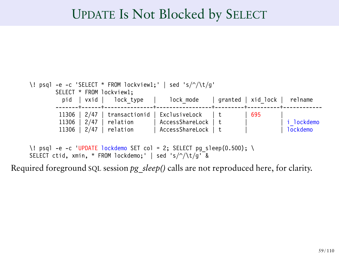```
\! psql -e -c 'SELECT * FROM lockview1;' | sed 's/^/\t/g'
        SELECT * FROM lockview1;<br>pid | vxid | lock type
                                              lock mode | granted | xid lock | relname
         -------+------+---------------+-----------------+---------+----------+------------
         11306 | 2/47 | transactionid | ExclusiveLock | t | 695<br>11306 | 2/47 | relation | AccessShareLock | t |
          11306 | 2/47 | relation | AccessShareLock | t | | i_lockdemo
                                            AccessSharelock
```

```
\! psql -e -c 'UPDATE lockdemo SET col = 2; SELECT pg sleep(0.500); \
SELECT ctid, xmin, * FROM lockdemo; | sed 's/\sqrt{\frac{k}{g}}
```
Required foreground SQL session *pg\_sleep()* calls are not reproduced here, for clarity.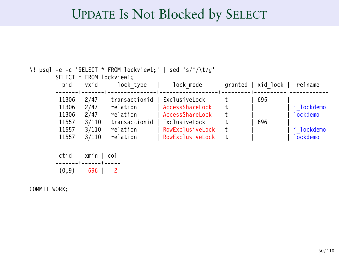| -e -c 'SELECT * FROM lockview1;'  <br>sed 's/^/\t/q'<br>\! psql<br>SELECT * FROM lockview1; |                                                        |                                                                      |         |            |                             |  |  |  |
|---------------------------------------------------------------------------------------------|--------------------------------------------------------|----------------------------------------------------------------------|---------|------------|-----------------------------|--|--|--|
| vxid<br>pid                                                                                 | lock type                                              | lock mode                                                            | granted | xid lock   | relname                     |  |  |  |
| 2/47<br>11306<br>11306<br>2/47<br>2/47<br>11306<br>3/110<br>11557                           | transactionid<br>relation<br>relation<br>transactionid | ExclusiveLock<br>AccessShareLock<br>AccessShareLock<br>ExclusiveLock |         | 695<br>696 | i lockdemo<br>lockdemo      |  |  |  |
| 3/110<br>11557<br>3/110<br>11557                                                            | relation<br>relation                                   | RowExclusiveLock<br>RowExclusiveLock                                 |         |            | <b>lockdemo</b><br>lockdemo |  |  |  |

```
ctid | xmin | col
-------+------+-----
(0,9) | 696 | 2
```
COMMIT WORK;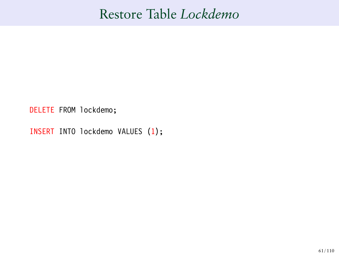## Restore Table *Lockdemo*

DELETE FROM lockdemo;

INSERT INTO lockdemo VALUES (1);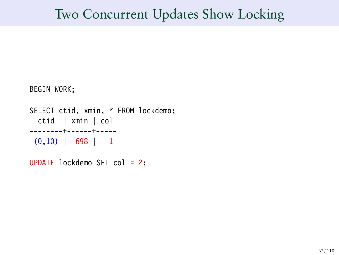```
BEGIN WORK;
```

```
SELECT ctid, xmin, * FROM lockdemo;
 ctid | xmin | col
--------+------+-----
 (0,10) | 698 | 1
```

```
UPDATE lockdemo SET col = 2;
```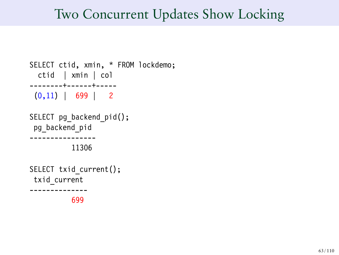```
SELECT ctid, xmin, * FROM lockdemo;
  ctid | xmin | col
--------+------+-----
 (0,11) | 699 | 2
SELECT pg backend pid();
 pg_backend_pid
  ----------------
          11306
SELECT txid current();
 txid_current
--------------
          699
```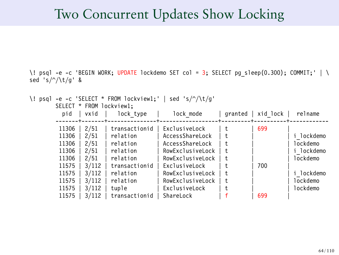\! psql -e -c 'BEGIN WORK; UPDATE lockdemo SET col = 3; SELECT pg sleep(0.300); COMMIT;' | \ sed 's/^/\t/g' &

\! psql -e -c 'SELECT \* FROM lockview1;' | sed 's/^/\t/g' SELECT \* FROM lockview1;

| vxid<br>pid                                                                                                                                                                 | lock type                                                                                                                        | lock mode                                                                                                                                                                          | granted                                            | xid lock          | relname                                                                            |
|-----------------------------------------------------------------------------------------------------------------------------------------------------------------------------|----------------------------------------------------------------------------------------------------------------------------------|------------------------------------------------------------------------------------------------------------------------------------------------------------------------------------|----------------------------------------------------|-------------------|------------------------------------------------------------------------------------|
| 11306<br>2/51<br>11306<br>2/51<br>11306<br>2/51<br>11306<br>2/51<br>11306<br>2/51<br>3/112<br>11575<br>3/112<br>11575<br>11575<br>3/112<br>3/112<br>11575<br>11575<br>3/112 | transactionid<br>relation<br>relation<br>relation<br>relation<br>transactionid<br>relation<br>relation<br>tuple<br>transactionid | ExclusiveLock<br>AccessShareLock<br>AccessShareLock<br>RowExclusiveLock<br>RowExclusiveLock<br>ExclusiveLock<br>RowExclusiveLock<br>RowExclusiveLock<br>ExclusiveLock<br>ShareLock | t.<br>t.<br>t.<br>t.<br>t.<br>t.<br>t.<br>t.<br>t. | 699<br>700<br>699 | lockdemo<br>lockdemo<br>i lockdemo<br>lockdemo<br>lockdemo<br>lockdemo<br>lockdemo |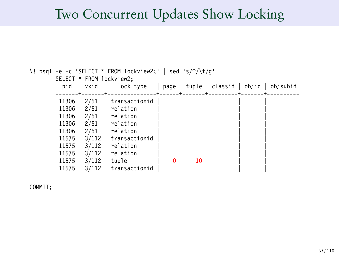| \! psql -e -c 'SELECT * FROM lockview2;'   sed 's/^/\t/q' |       |               |   |    |                                           |  |  |  |
|-----------------------------------------------------------|-------|---------------|---|----|-------------------------------------------|--|--|--|
| SELECT * FROM lockview2;                                  |       |               |   |    |                                           |  |  |  |
| pid                                                       | vxid  | lock type     |   |    | page   tuple   classid   objid   objsubid |  |  |  |
|                                                           |       |               |   |    |                                           |  |  |  |
| 11306                                                     | 2/51  | transactionid |   |    |                                           |  |  |  |
| 11306                                                     | 2/51  | relation      |   |    |                                           |  |  |  |
| 11306                                                     | 2/51  | relation      |   |    |                                           |  |  |  |
| 11306                                                     | 2/51  | relation      |   |    |                                           |  |  |  |
| 11306                                                     | 2/51  | relation      |   |    |                                           |  |  |  |
| 11575                                                     | 3/112 | transactionid |   |    |                                           |  |  |  |
| 11575                                                     | 3/112 | relation      |   |    |                                           |  |  |  |
| 11575                                                     | 3/112 | relation      |   |    |                                           |  |  |  |
| 11575                                                     | 3/112 | tuple         | 0 | 10 |                                           |  |  |  |
| 11575                                                     | 3/112 | transactionid |   |    |                                           |  |  |  |

COMMIT;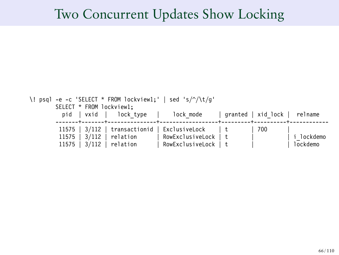```
\! psql -e -c 'SELECT * FROM lockview1;' | sed 's/^/\t/g'
        SELECT * FROM lockview1;<br>pid | vxid | lock type
           pid | vxid | lock_type | lock_mode | granted | xid_lock | relname
         -------+-------+---------------+------------------+---------+----------+------------
         11575 | 3/112 | transactionid | ExclusiveLock | t | 700<br>11575 | 3/112 | relation | RowExclusiveLock | t |
         11575 | 3/112 | relation | RowExclusiveLock | t | | i_lockdemo
                                            RowExclusiveLock | t
```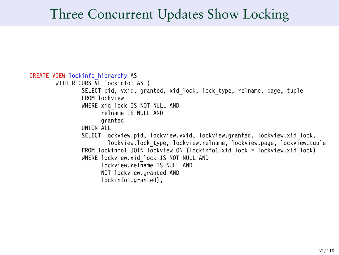```
CREATE VIEW lockinfo_hierarchy AS
       WITH RECURSIVE lockinfol AS (
                SELECT pid, vxid, granted, xid lock, lock type, relname, page, tuple
                FROM lockview
                WHERE xid lock IS NOT NULL AND
                      relname IS NULL AND
                      granted
               UNION ALL
                SELECT lockview.pid, lockview.vxid, lockview.granted, lockview.xid lock,
                        lockview.lock type, lockview.relname, lockview.page, lockview.tuple
                FROM lockinfo1 JOIN lockview ON (lockinfo1.xid lock = lockview.xid lock)
                WHERE lockview.xid lock IS NOT NULL AND
                      lockview.relname IS NULL AND
                      NOT lockview.granted AND
                      lockinfo1.granted),
```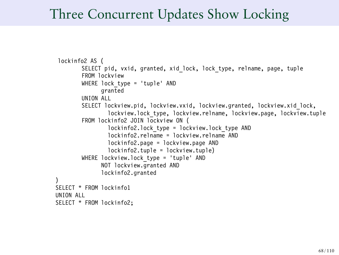```
lockinfo2 AS (
        SELECT pid, vxid, granted, xid lock, lock type, relname, page, tuple
        FROM lockview
        WHERE lock type = 'tuple' AND
              granted
        UNION ALL
        SELECT lockview.pid, lockview.vxid, lockview.granted, lockview.xid_lock,
                lockview.lock type, lockview.relname, lockview.page. lockview.tuple
        FROM lockinfo2 JOIN lockview ON (
                lockinfo2.lock_type = lockview.lock_type AND
                lockinfo2.relname = lockview.relname AND
                lockinfo2.page = lockview.page AND
                lockinfo2.tuple = lockview.tuple)
        WHERE lockview.lock type = 'tuple' AND
              NOT lockview.granted AND
              lockinfo2.granted
)
SELECT * FROM lockinfo1
UNION ALL
SELECT * FROM lockinfo2;
```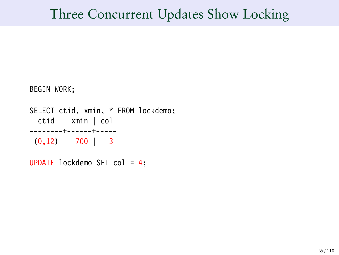```
BEGIN WORK;
```

```
SELECT ctid, xmin, * FROM lockdemo;
 ctid | xmin | col
--------+------+-----
 (0,12) | 700 | 3
```
UPDATE lockdemo SET col = 4;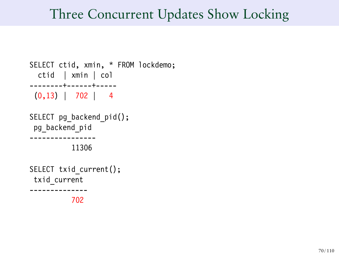```
SELECT ctid, xmin, * FROM lockdemo;
 ctid | xmin | col
--------+------+-----
 (0,13) | 702 | 4
SELECT pg backend pid();
pg_backend_pid
 ----------------
          11306
SELECT txid current();
txid_current
--------------
          702
```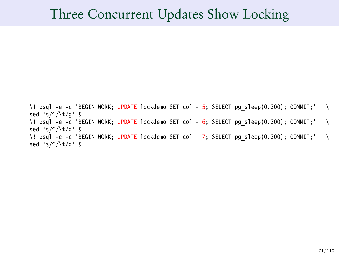\! psql -e -c 'BEGIN WORK; UPDATE lockdemo SET col = 5; SELECT pg sleep(0.300); COMMIT;' | \ sed 's/^/\t/g' & \! psql -e -c 'BEGIN WORK; UPDATE lockdemo SET col = 6; SELECT pg sleep(0.300); COMMIT;' | \ sed 's/^/\t/g' & \! psql -e -c 'BEGIN WORK; UPDATE lockdemo SET col = 7; SELECT pg sleep(0.300); COMMIT;' | \ sed 's/^/\t/g' &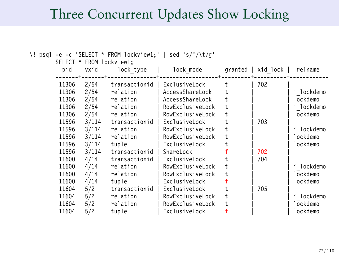|  | FROM lockview1;<br>SELECT<br>$\ast$ |       |               |                  |         |          |            |  |  |
|--|-------------------------------------|-------|---------------|------------------|---------|----------|------------|--|--|
|  | pid                                 | vxid  | lock type     | lock mode        | granted | xid lock | relname    |  |  |
|  |                                     |       |               |                  |         |          |            |  |  |
|  | 11306                               | 2/54  | transactionid | ExclusiveLock    | t       | 702      |            |  |  |
|  | 11306                               | 2/54  | relation      | AccessShareLock  | t       |          | i lockdemo |  |  |
|  | 11306                               | 2/54  | relation      | AccessShareLock  | t.      |          | lockdemo   |  |  |
|  | 11306                               | 2/54  | relation      | RowExclusiveLock | t       |          | i lockdemo |  |  |
|  | 11306                               | 2/54  | relation      | RowExclusiveLock | t       |          | lockdemo   |  |  |
|  | 11596                               | 3/114 | transactionid | ExclusiveLock    | t.      | 703      |            |  |  |
|  | 11596                               | 3/114 | relation      | RowExclusiveLock | t       |          | i lockdemo |  |  |
|  | 11596                               | 3/114 | relation      | RowExclusiveLock | t       |          | lockdemo   |  |  |
|  | 11596                               | 3/114 | tuple         | ExclusiveLock    | t.      |          | lockdemo   |  |  |
|  | 11596                               | 3/114 | transactionid | ShareLock        |         | 702      |            |  |  |
|  | 11600                               | 4/14  | transactionid | ExclusiveLock    |         | 704      |            |  |  |
|  | 11600                               | 4/14  | relation      | RowExclusiveLock | t       |          | i lockdemo |  |  |
|  | 11600                               | 4/14  | relation      | RowExclusiveLock | t       |          | lockdemo   |  |  |
|  | 11600                               | 4/14  | tuple         | ExclusiveLock    |         |          | lockdemo   |  |  |
|  | 11604                               | 5/2   | transactionid | ExclusiveLock    | t.      | 705      |            |  |  |
|  | 11604                               | 5/2   | relation      | RowExclusiveLock | t       |          | i lockdemo |  |  |
|  | 11604                               | 5/2   | relation      | RowExclusiveLock | t       |          | lockdemo   |  |  |
|  | 11604                               | 5/2   | tuple         | ExclusiveLock    |         |          | lockdemo   |  |  |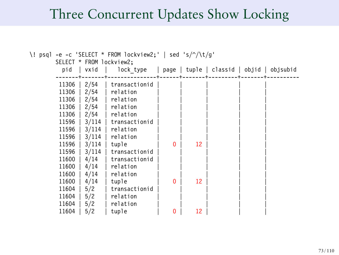## Three Concurrent Updates Show Locking

| $-e$ -c 'SELECT * FROM lockview2;'   sed 's/^/\t/q'<br>\! psql |       |                          |          |    |                                           |  |  |
|----------------------------------------------------------------|-------|--------------------------|----------|----|-------------------------------------------|--|--|
|                                                                |       | SELECT * FROM lockview2; |          |    |                                           |  |  |
| pid                                                            | vxid  | lock type                |          |    | page   tuple   classid   objid   objsubid |  |  |
|                                                                |       |                          |          |    |                                           |  |  |
| 11306                                                          | 2/54  | transactionid            |          |    |                                           |  |  |
| 11306                                                          | 2/54  | relation                 |          |    |                                           |  |  |
| 11306                                                          | 2/54  | relation                 |          |    |                                           |  |  |
| 11306                                                          | 2/54  | relation                 |          |    |                                           |  |  |
| 11306                                                          | 2/54  | relation                 |          |    |                                           |  |  |
| 11596                                                          | 3/114 | transactionid            |          |    |                                           |  |  |
| 11596                                                          | 3/114 | relation                 |          |    |                                           |  |  |
| 11596                                                          | 3/114 | relation                 |          |    |                                           |  |  |
| 11596                                                          | 3/114 | tuple                    | $\Omega$ | 12 |                                           |  |  |
| 11596                                                          | 3/114 | transactionid            |          |    |                                           |  |  |
| 11600                                                          | 4/14  | transactionid            |          |    |                                           |  |  |
| 11600                                                          | 4/14  | relation                 |          |    |                                           |  |  |
| 11600                                                          | 4/14  | relation                 |          |    |                                           |  |  |
| 11600                                                          | 4/14  | tuple                    | $\Omega$ | 12 |                                           |  |  |
| 11604                                                          | 5/2   | transactionid            |          |    |                                           |  |  |
| 11604                                                          | 5/2   | relation                 |          |    |                                           |  |  |
| 11604                                                          | 5/2   | relation                 |          |    |                                           |  |  |
| 11604                                                          | 5/2   | tuple                    | 0        | 12 |                                           |  |  |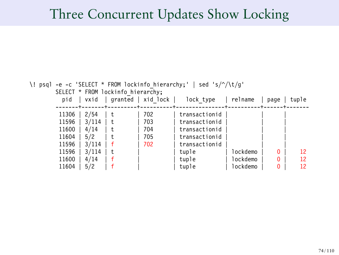## Three Concurrent Updates Show Locking

| \! psql | -e -c 'SELECT * FROM lockinfo hierarchy; '   sed 's/ $\sqrt{\frac{t}{g}}$ |       |    |                    |               |          |          |       |  |
|---------|---------------------------------------------------------------------------|-------|----|--------------------|---------------|----------|----------|-------|--|
|         | SELECT * FROM lockinfo hierarchy;                                         |       |    |                    |               |          |          |       |  |
|         | pid                                                                       | vxid  |    | granted   xid lock | lock type     | relname  | page     | tuple |  |
|         |                                                                           |       |    |                    |               |          |          |       |  |
|         | 11306                                                                     | 2/54  | t. | 702                | transactionid |          |          |       |  |
|         | 11596                                                                     | 3/114 | t  | 703                | transactionid |          |          |       |  |
|         | 11600                                                                     | 4/14  | t. | 704                | transactionid |          |          |       |  |
|         | 11604                                                                     | 5/2   |    | 705                | transactionid |          |          |       |  |
|         | 11596                                                                     | 3/114 |    | 702                | transactionid |          |          |       |  |
|         | 11596                                                                     | 3/114 | t. |                    | tuple         | lockdemo | $\Omega$ | 12    |  |
|         | 11600                                                                     | 4/14  |    |                    | tuple         | lockdemo | 0        | 12    |  |
|         | 11604                                                                     | 5/2   |    |                    | tuple         | lockdemo | n        | 12    |  |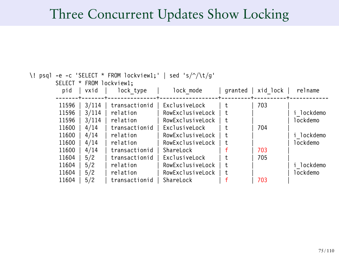# Three Concurrent Updates Show Locking

| \! | psql -e -c 'SELECT * FROM lockview1;'<br>sed 's/ $\sqrt{\t1/g'}$ |       |                          |                  |         |          |            |
|----|------------------------------------------------------------------|-------|--------------------------|------------------|---------|----------|------------|
|    |                                                                  |       | SELECT * FROM lockview1: |                  |         |          |            |
|    | pid                                                              | vxid  | lock type                | lock mode        | granted | xid lock | relname    |
|    |                                                                  |       |                          |                  |         |          |            |
|    | 11596                                                            | 3/114 | transactionid            | ExclusiveLock    | t.      | 703      |            |
|    | 11596                                                            | 3/114 | relation                 | RowExclusiveLock |         |          | i lockdemo |
|    | 11596                                                            | 3/114 | relation                 | RowExclusiveLock |         |          | lockdemo   |
|    | 11600                                                            | 4/14  | transactionid            | ExclusiveLock    |         | 704      |            |
|    | 11600                                                            | 4/14  | relation                 | RowExclusiveLock |         |          | lockdemo   |
|    | 11600                                                            | 4/14  | relation                 | RowExclusiveLock |         |          | lockdemo   |
|    | 11600                                                            | 4/14  | transactionid            | ShareLock        |         | 703      |            |
|    | 11604                                                            | 5/2   | transactionid            | ExclusiveLock    |         | 705      |            |
|    | 11604                                                            | 5/2   | relation                 | RowExclusiveLock |         |          | lockdemo   |
|    | 11604                                                            | 5/2   | relation                 | RowExclusiveLock |         |          | lockdemo   |
|    | 11604                                                            | 5/2   | transactionid            | ShareLock        |         | 703      |            |
|    |                                                                  |       |                          |                  |         |          |            |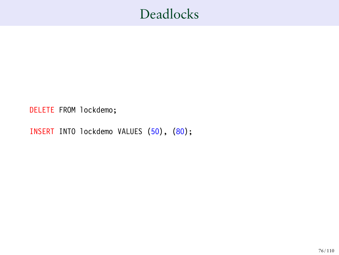DELETE FROM lockdemo;

INSERT INTO lockdemo VALUES (50), (80);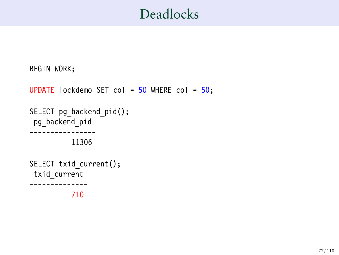```
BEGIN WORK;
UPDATE lockdemo SET col = 50 WHERE col = 50;
SELECT pg_backend_pid();
 pg backend pid
   ----------------
           11306
SELECT txid current();
 txid_current
 --------------
           710
```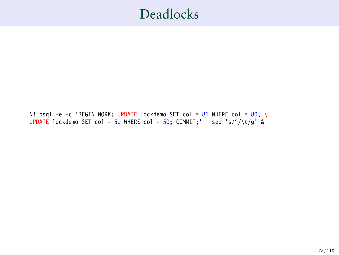\! psql -e -c 'BEGIN WORK; UPDATE lockdemo SET col = 81 WHERE col = 80; \ UPDATE lockdemo SET col = 51 WHERE col = 50; COMMIT; ' | sed 's/ $\sqrt{\t1/2}$ ' &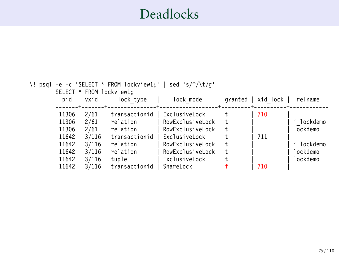| psql | sed 's/ $\frac{\gamma}{\tau}$<br>-e -c 'SELECT * FROM lockview1;'<br>SELECT * FROM lockview1; |       |               |                  |         |          |          |  |
|------|-----------------------------------------------------------------------------------------------|-------|---------------|------------------|---------|----------|----------|--|
|      | pid                                                                                           | vxid  | lock type     | lock mode        | granted | xid lock | relname  |  |
|      | 11306                                                                                         | 2/61  | transactionid | ExclusiveLock    |         | 710      |          |  |
|      | 11306                                                                                         | 2/61  | relation      | RowExclusiveLock |         |          | lockdemo |  |
|      | 11306                                                                                         | 2/61  | relation      | RowExclusiveLock |         |          | lockdemo |  |
|      | 11642                                                                                         | 3/116 | transactionid | ExclusiveLock    |         | 711      |          |  |
|      | 11642                                                                                         | 3/116 | relation      | RowExclusiveLock |         |          | lockdemo |  |
|      | 11642                                                                                         | 3/116 | relation      | RowExclusiveLock |         |          | lockdemo |  |
|      | 11642                                                                                         | 3/116 | tuple         | ExclusiveLock    |         |          | lockdemo |  |
|      | 11642                                                                                         | 3/116 | transactionid | ShareLock        |         | 710      |          |  |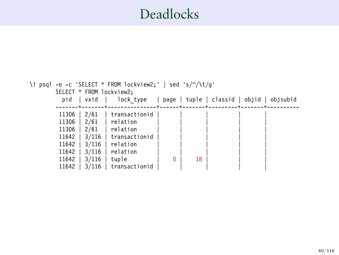```
\! psql -e -c 'SELECT * FROM lockview2;' | sed 's/^/\t/g'
         SELECT * FROM lockview2;<br>pid | vxid | lock_type
                                              | page | tuple | classid | objid | objsubid
         -------+-------+---------------+------+-------+---------+-------+----------
          11306 | 2/61 | transactionid<br>11306 | 2/61 | relation
          11306 | 2/61 | relation<br>11306 | 2/61 | relation
          11306 \mid 2/61 \mid relation<br>11642 \mid 3/116 \mid transact
          11642 | 3/116 | transactionid<br>11642 | 3/116 | relation
           11642 | 3/116 | relation | | | | | | | |
          11642 | 3/116 | relation | | | | |
           11642 | 3/116 | tuple | 0 | 18 | | | | |
          11642 | 3/116 | transactionid
```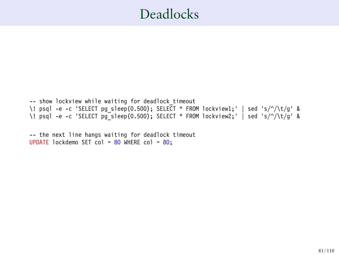-- show lockview while waiting for deadlock timeout \! psql -e -c 'SELECT pg\_sleep(0.500); SELECT \* FROM lockview1;' | sed 's/^/\t/g' & \! psql -e -c 'SELECT pg\_sleep(0.500); SELECT \* FROM lockview2;' | sed 's/^/\t/g' &

-- the next line hangs waiting for deadlock timeout UPDATE lockdemo SET col =  $80$  WHERE col =  $80$ ;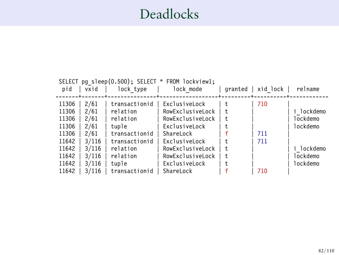| pg sleep(0.500); SELECT * FROM lockview1;<br>SELECT |       |               |                  |         |          |            |  |
|-----------------------------------------------------|-------|---------------|------------------|---------|----------|------------|--|
| pid                                                 | vxid  | lock type     | lock mode        | granted | xid lock | relname    |  |
|                                                     |       |               |                  |         |          |            |  |
| 11306                                               | 2/61  | transactionid | ExclusiveLock    | t.      | 710      |            |  |
| 11306                                               | 2/61  | relation      | RowExclusiveLock | t.      |          | i lockdemo |  |
| 11306                                               | 2/61  | relation      | RowExclusiveLock | ŧ       |          | lockdemo   |  |
| 11306                                               | 2/61  | tuple         | ExclusiveLock    | t.      |          | lockdemo   |  |
| 11306                                               | 2/61  | transactionid | ShareLock        |         | 711      |            |  |
| 11642                                               | 3/116 | transactionid | ExclusiveLock    | t.      | 711      |            |  |
| 11642                                               | 3/116 | relation      | RowExclusiveLock | t.      |          | lockdemo   |  |
| 11642                                               | 3/116 | relation      | RowExclusiveLock | t.      |          | lockdemo   |  |
| 11642                                               | 3/116 | tuple         | ExclusiveLock    | t.      |          | lockdemo   |  |
| 11642                                               | 3/116 | transactionid | ShareLock        |         | 710      |            |  |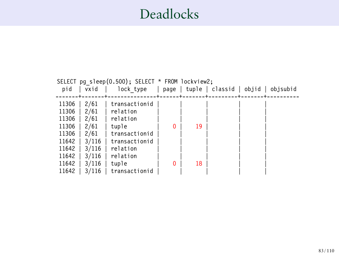| SELECT pg sleep(0.500); SELECT * FROM lockview2; |       |               |              |    |                          |       |          |
|--------------------------------------------------|-------|---------------|--------------|----|--------------------------|-------|----------|
| pid                                              | vxid  | lock type     |              |    | $page$   tuple   classid | objid | objsubid |
|                                                  |       |               |              |    |                          |       |          |
| 11306                                            | 2/61  | transactionid |              |    |                          |       |          |
| 11306                                            | 2/61  | relation      |              |    |                          |       |          |
| 11306                                            | 2/61  | relation      |              |    |                          |       |          |
| 11306                                            | 2/61  | tuple         | $\mathbf{0}$ | 19 |                          |       |          |
| 11306                                            | 2/61  | transactionid |              |    |                          |       |          |
| 11642                                            | 3/116 | transactionid |              |    |                          |       |          |
| 11642                                            | 3/116 | relation      |              |    |                          |       |          |
| 11642                                            | 3/116 | relation      |              |    |                          |       |          |
| 11642                                            | 3/116 | tuple         | $\mathbf{0}$ | 18 |                          |       |          |
| 11642                                            | 3/116 | transactionid |              |    |                          |       |          |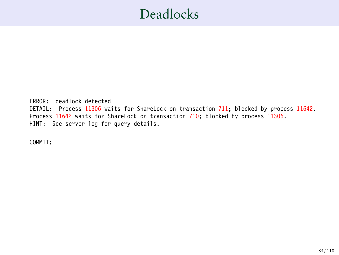ERROR: deadlock detected DETAIL: Process 11306 waits for ShareLock on transaction 711; blocked by process 11642. Process 11642 waits for ShareLock on transaction 710; blocked by process 11306. HINT: See server log for query details.

COMMIT;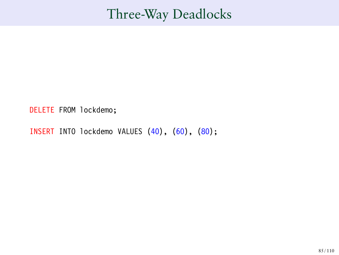DELETE FROM lockdemo;

INSERT INTO lockdemo VALUES (40), (60), (80);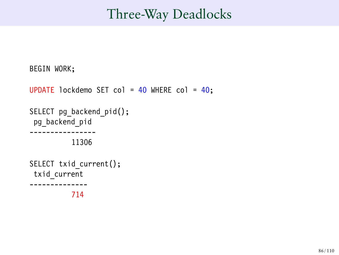```
BEGIN WORK;
UPDATE lockdemo SET col = 40 WHERE col = 40;
SELECT pg backend pid();
 pg_backend_pid
  ----------------
           11306
SELECT txid current();
 txid_current
--------------
           714
```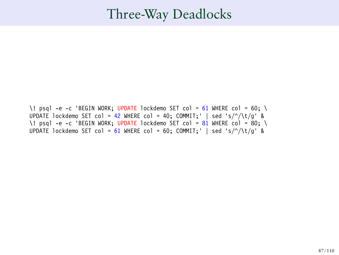\! psql -e -c 'BEGIN WORK; UPDATE lockdemo SET col =  $61$  WHERE col =  $60$ ; \ UPDATE lockdemo SET col = 42 WHERE col = 40; COMMIT;' | sed 's/^/\t/g' & \! psql -e -c 'BEGIN WORK; UPDATE lockdemo SET col = 81 WHERE col = 80; \ UPDATE lockdemo SET col =  $61$  WHERE col =  $60$ ; COMMIT;  $\mid$  sed 's/^/\t/q' &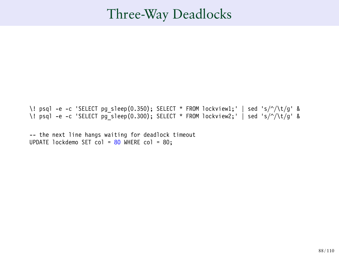\! psql -e -c 'SELECT pg\_sleep(0.350); SELECT \* FROM lockview1;' | sed 's/^/\t/g' & \! psql -e -c 'SELECT pg\_sleep(0.300); SELECT \* FROM lockview2;' | sed 's/^/\t/g' &

-- the next line hangs waiting for deadlock timeout UPDATE lockdemo SET col = 80 WHERE col = 80;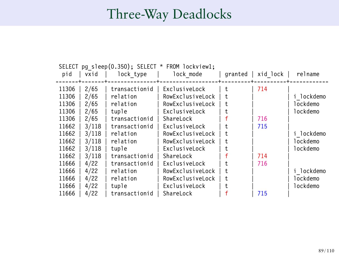|       | pq sleep(0.350); SELECT * FROM lockview1;<br><b>SELECT</b> |               |                  |         |          |            |  |  |
|-------|------------------------------------------------------------|---------------|------------------|---------|----------|------------|--|--|
| pid   | vxid                                                       | lock type     | lock mode        | granted | xid lock | relname    |  |  |
|       |                                                            |               |                  |         |          |            |  |  |
| 11306 | 2/65                                                       | transactionid | ExclusiveLock    | t.      | 714      |            |  |  |
| 11306 | 2/65                                                       | relation      | RowExclusiveLock | t.      |          | i lockdemo |  |  |
| 11306 | 2/65                                                       | relation      | RowExclusiveLock | t.      |          | lockdemo   |  |  |
| 11306 | 2/65                                                       | tuple         | ExclusiveLock    | t.      |          | lockdemo   |  |  |
| 11306 | 2/65                                                       | transactionid | ShareLock        |         | 716      |            |  |  |
| 11662 | 3/118                                                      | transactionid | ExclusiveLock    | t       | 715      |            |  |  |
| 11662 | 3/118                                                      | relation      | RowExclusiveLock | t.      |          | i lockdemo |  |  |
| 11662 | 3/118                                                      | relation      | RowExclusiveLock | ŧ       |          | lockdemo   |  |  |
| 11662 | 3/118                                                      | tuple         | ExclusiveLock    | t       |          | lockdemo   |  |  |
| 11662 | 3/118                                                      | transactionid | ShareLock        |         | 714      |            |  |  |
| 11666 | 4/22                                                       | transactionid | ExclusiveLock    | t.      | 716      |            |  |  |
| 11666 | 4/22                                                       | relation      | RowExclusiveLock | t.      |          | i lockdemo |  |  |
| 11666 | 4/22                                                       | relation      | RowExclusiveLock | t.      |          | lockdemo   |  |  |
| 11666 | 4/22                                                       | tuple         | ExclusiveLock    | t.      |          | lockdemo   |  |  |
| 11666 | 4/22                                                       | transactionid | ShareLock        |         | 715      |            |  |  |
|       |                                                            |               |                  |         |          |            |  |  |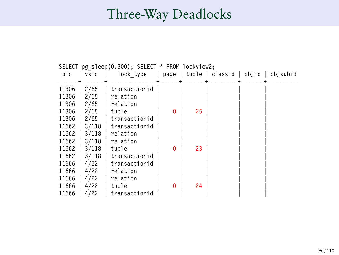|       | SELECT pg sleep(0.300); SELECT * FROM lockview2; |               |          |    |                                           |  |  |  |
|-------|--------------------------------------------------|---------------|----------|----|-------------------------------------------|--|--|--|
| pid   | vxid                                             | lock type     |          |    | page   tuple   classid   objid   objsubid |  |  |  |
|       |                                                  |               |          |    |                                           |  |  |  |
| 11306 | 2/65                                             | transactionid |          |    |                                           |  |  |  |
| 11306 | 2/65                                             | relation      |          |    |                                           |  |  |  |
| 11306 | 2/65                                             | relation      |          |    |                                           |  |  |  |
| 11306 | 2/65                                             | tuple         | $\Omega$ | 25 |                                           |  |  |  |
| 11306 | 2/65                                             | transactionid |          |    |                                           |  |  |  |
| 11662 | 3/118                                            | transactionid |          |    |                                           |  |  |  |
| 11662 | 3/118                                            | relation      |          |    |                                           |  |  |  |
| 11662 | 3/118                                            | relation      |          |    |                                           |  |  |  |
| 11662 | 3/118                                            | tuple         | $\Omega$ | 23 |                                           |  |  |  |
| 11662 | 3/118                                            | transactionid |          |    |                                           |  |  |  |
| 11666 | 4/22                                             | transactionid |          |    |                                           |  |  |  |
| 11666 | 4/22                                             | relation      |          |    |                                           |  |  |  |
| 11666 | 4/22                                             | relation      |          |    |                                           |  |  |  |
| 11666 | 4/22                                             | tuple         | $\Omega$ | 24 |                                           |  |  |  |
| 11666 | 4/22                                             | transactionid |          |    |                                           |  |  |  |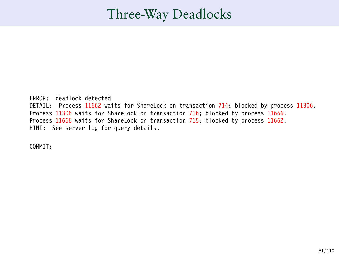ERROR: deadlock detected DETAIL: Process 11662 waits for ShareLock on transaction 714; blocked by process 11306. Process 11306 waits for ShareLock on transaction 716; blocked by process 11666. Process 11666 waits for ShareLock on transaction 715; blocked by process 11662. HINT: See server log for query details.

COMMIT;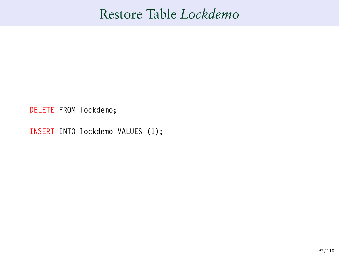### Restore Table *Lockdemo*

DELETE FROM lockdemo;

INSERT INTO lockdemo VALUES (1);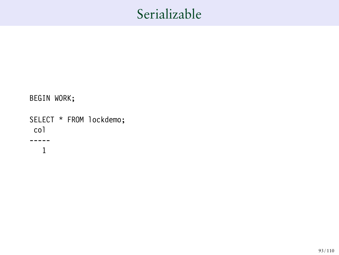BEGIN WORK;

SELECT \* FROM lockdemo; col ----- 1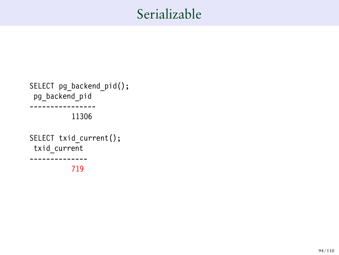```
SELECT pg_backend_pid();
pg_backend_pid
----------------
           11306
SELECT txid current();
txid_current
 --------------
           719
```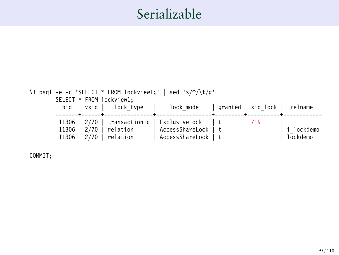

COMMIT;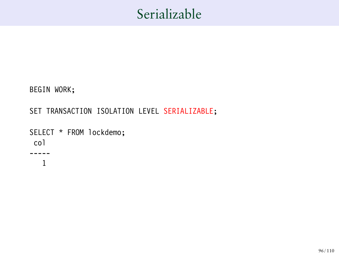BEGIN WORK;

SET TRANSACTION ISOLATION LEVEL SERIALIZABLE;

```
SELECT * FROM lockdemo;
col
-----
   1
```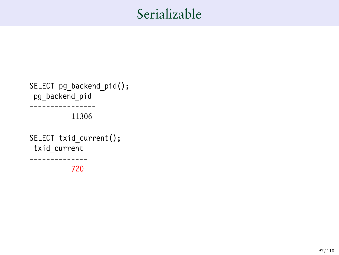```
SELECT pg_backend_pid();
pg_backend_pid
----------------
           11306
SELECT txid current();
txid_current
 --------------
           720
```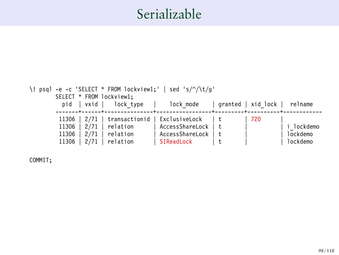

COMMIT;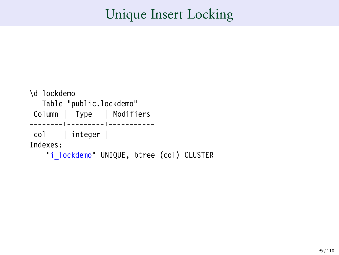### Unique Insert Locking

```
\d lockdemo
  Table "public.lockdemo"
Column | Type | Modifiers
--------+---------+-----------
col | integer |
Indexes:
   "i lockdemo" UNIQUE, btree (col) CLUSTER
```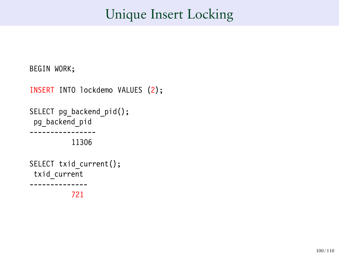### Unique Insert Locking

```
BEGIN WORK;
```

```
INSERT INTO lockdemo VALUES (2);
SELECT pg backend pid();
 pg backend pid
  ----------------
           11306
SELECT txid current();
 txid_current
--------------
           721
```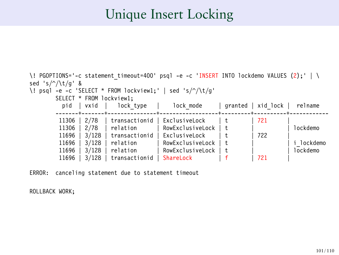### Unique Insert Locking

| \! PGOPTIONS='-c statement timeout=400' psql -e -c 'INSERT INTO lockdemo VALUES (2);' |               |                  |         |          |            |  |  |
|---------------------------------------------------------------------------------------|---------------|------------------|---------|----------|------------|--|--|
| sed 's/ $\sqrt{\frac{t}{q}}$ &                                                        |               |                  |         |          |            |  |  |
| \! psql -e -c 'SELECT * FROM lockview1;'   sed 's/ $\sqrt{(t/q)}$                     |               |                  |         |          |            |  |  |
| SELECT * FROM lockview1:                                                              |               |                  |         |          |            |  |  |
| vxid<br>pid                                                                           | lock type     | lock mode        | granted | xid lock | relname    |  |  |
|                                                                                       |               |                  |         |          |            |  |  |
| 2/78<br>11306                                                                         | transactionid | ExclusiveLock    |         | 721      |            |  |  |
| 2/78<br>11306                                                                         | relation      | RowExclusiveLock |         |          | lockdemo   |  |  |
| 3/128<br>11696                                                                        | transactionid | ExclusiveLock    |         | 722      |            |  |  |
| 3/128<br>11696                                                                        | relation      | RowExclusiveLock |         |          | i lockdemo |  |  |
| 3/128<br>11696                                                                        | relation      | RowExclusiveLock |         |          | lockdemo   |  |  |
| 11696<br>3/128                                                                        | transactionid | ShareLock        |         | 721      |            |  |  |

ERROR: canceling statement due to statement timeout

ROLLBACK WORK;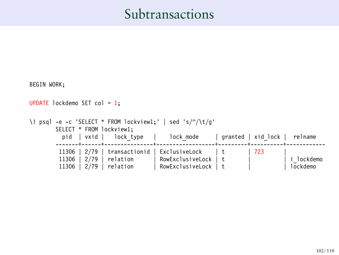# Subtransactions

| BEGIN WORK;                                                                           |                      |  |                    |            |  |  |  |  |
|---------------------------------------------------------------------------------------|----------------------|--|--------------------|------------|--|--|--|--|
| UPDATE lockdemo SET col = 1;                                                          |                      |  |                    |            |  |  |  |  |
| \! psql -e -c 'SELECT * FROM lockview1;'   sed 's/^/\t/g'<br>SELECT * FROM lockview1; |                      |  |                    |            |  |  |  |  |
| pid   vxid   lock type<br>-------+------+-----------                                  | lock mode            |  | granted   xid lock | relname    |  |  |  |  |
| 2/79<br>transactionid  <br>11306                                                      | ExclusiveLock        |  | 723                |            |  |  |  |  |
| 2/79<br>11306<br>relation                                                             | RowExclusiveLock   t |  |                    | i lockdemo |  |  |  |  |
| 2/79<br>11306<br>relation                                                             | RowExclusiveLock   t |  |                    | lockdemo   |  |  |  |  |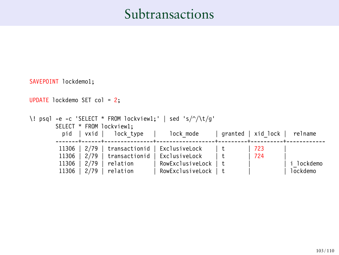#### Subtransactions

```
SAVEPOINT lockdemo1;
UPDATE lockdemo SET col = 2;
\! psql -e -c 'SELECT * FROM lockview1;' | sed 's/^/\t/g'
          SELECT * FROM lockview1;<br>pid | vxid | lock t
                                 lock type | lock_mode | granted | xid_lock | relname
          -------+------+---------------+------------------+---------+----------+------------
           11306 | 2/79 | transactionid | ExclusiveLock | t | 723<br>11306 | 2/79 | transactionid | ExclusiveLock | t | 724
           11306 \begin{array}{|c|c|c|c|c|}\n 2/79 & transactionid & ExclusiveLock \n 11306 & 2/79 & relation & NowExclusiveL\n \end{array}11306 | 2/79 | relation | RowExclusiveLock | t | | i_lockdemo
                                                  RowExclusiveLock | t
```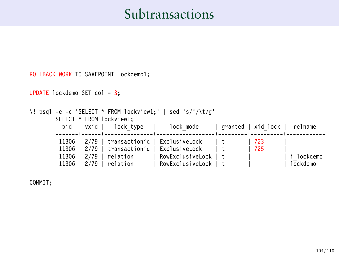#### Subtransactions

```
ROLLBACK WORK TO SAVEPOINT lockdemo1;
UPDATE lockdemo SET col = 3;
\! psql -e -c 'SELECT * FROM lockview1;' | sed 's/^/\t/g'
         SELECT * FROM lockview1;<br>pid | vxid | lock type
            pid | vxid | lock_type | lock_mode | granted | xid_lock | relname
         -------+------+---------------+------------------+---------+----------+------------
          11306 | 2/79 | transactionid | ExclusiveLock | t | 723<br>11306 | 2/79 | transactionid | ExclusiveLock | t | 725
          11306 | 2/79 | transactionid | ExclusiveLock | t<br>11306 | 2/79 | relation | RowExclusiveLock | t
          11306 | 2/79 | relation | RowExclusiveLock | t | | i_lockdemo
                                             | RowExclusiveLock | t
```
COMMIT;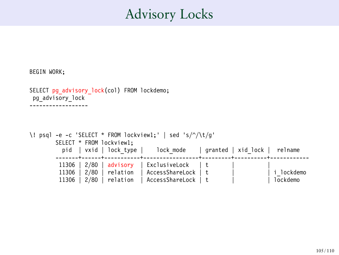### Advisory Locks

```
BEGIN WORK;
```

```
SELECT pg_advisory_lock(col) FROM lockdemo;
 pg_advisory_lock
------------------
```

```
\! psql -e -c 'SELECT * FROM lockview1;' | sed 's/^/\t/g'
        SELECT * FROM lockview1;<br>pid | vxid | lock tvp
                 vxid | lock_type | lock_mode | granted | xid_lock | relname
        -------+------+-----------+-----------------+---------+----------+------------
         11306 | 2/80 | advisory | ExclusiveLock | t
         11306 | 2/80 | relation | AccessShareLock | t | | i_lockdemo
         11306 | 2/80 | relation
```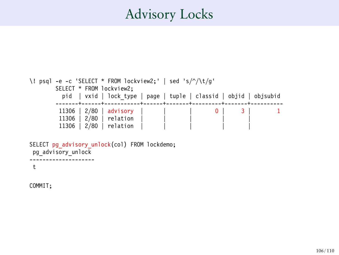## Advisory Locks

```
\! psql -e -c 'SELECT * FROM lockview2;' | sed 's/^/\t/g'
       SELECT * FROM lockview2;
          pid | vxid | lock type | page | tuple | classid | objid | objsubid
        -------+------+-----------+------+-------+---------+-------+----------
         11306 | 2/80 | advisory |
        11306 | 2/80 | relation
         11306 \vert 2/80 \vert relation
```

```
SELECT pg_advisory_unlock(col) FROM lockdemo;
pg_advisory_unlock
--------------------
```
t

COMMIT;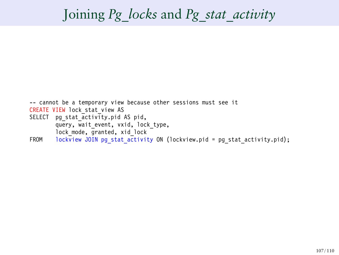## Joining *Pg\_locks* and *Pg\_stat\_activity*

-- cannot be a temporary view because other sessions must see it CREATE VIEW lock stat view AS SELECT pg stat activity.pid AS pid, query, wait event, vxid, lock type, lock mode, granted, xid lock FROM lockview JOIN pg\_stat\_activity ON (lockview.pid = pg\_stat\_activity.pid);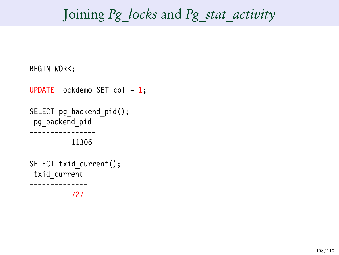## Joining *Pg\_locks* and *Pg\_stat\_activity*

```
BEGIN WORK;
UPDATE lockdemo SET col = 1;
SELECT pg backend pid();
 pg_backend_pid
  ----------------
           11306
SELECT txid current();
 txid_current
--------------
           727
```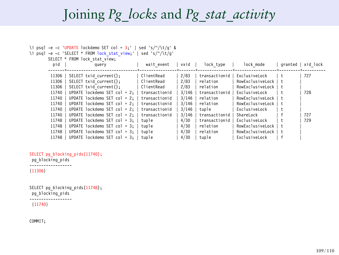## Joining *Pg\_locks* and *Pg\_stat\_activity*

| \! psql -e -c 'UPDATE lockdemo SET col = $3$ ;'   sed 's/^/\t/q' &                              |               |        |               |                      |     |                    |
|-------------------------------------------------------------------------------------------------|---------------|--------|---------------|----------------------|-----|--------------------|
| \! psql -e -c 'SELECT * FROM lock stat view;'   sed 's/^/\t/q'<br>SELECT * FROM lock stat view: |               |        |               |                      |     |                    |
| pid<br>query                                                                                    | wait event    | vxid l | lock type     | lock mode            |     | granted   xid lock |
|                                                                                                 |               |        |               |                      |     |                    |
| 11306  <br>SELECT txid current();                                                               | ClientRead    | 2/83   | transactionid | ExclusiveLock        |     | 727                |
| 11306<br>SELECT txid current();                                                                 | ClientRead    | 2/83   | relation      | RowExclusiveLock     | Ιt  |                    |
| SELECT txid current():<br>11306                                                                 | ClientRead    | 2/83   | relation      | RowExclusiveLock     |     |                    |
| UPDATE lockdemo SET col = $2:$ $\vdash$<br>11740                                                | transactionid | 3/146  | transactionid | ExclusiveLock        |     | 728                |
| 11740<br>UPDATE lockdemo SET col = $2:$ $\vdash$                                                | transactionid | 3/146  | relation      | RowExclusiveLock     |     |                    |
| 11740<br>UPDATE lockdemo SET col = $2:$   transactionid                                         |               | 3/146  | relation      | RowExclusiveLock     | I t |                    |
| 11740<br>UPDATE lockdemo SET col = $2:$   transactionid                                         |               | 3/146  | tuple         | ExclusiveLock        |     |                    |
| 11740<br>UPDATE lockdemo SET col = 2:   transactionid                                           |               | 3/146  | transactionid | ShareLock            |     | 727                |
| 11748<br>UPDATE lockdemo SET col = $3:$   tuple                                                 |               | 4/30   | transactionid | ExclusiveLock        |     | 729                |
| 11748<br>UPDATE lockdemo SET col = $3:$   tuple                                                 |               | 4/30   | relation      | RowExclusiveLock     |     |                    |
| UPDATE lockdemo SET col = $3:$   tuple<br>11748                                                 |               | 4/30   | relation      | RowExclusiveLock   t |     |                    |
| UPDATE lockdemo SET col = $3:$   tuple<br>11748                                                 |               | 4/30   | tuple         | ExclusiveLock        |     |                    |

```
SELECT pg_blocking_pids(11740);
pg_blocking_pids
------------------
```
## {11306}

SELECT pg\_blocking\_pids(11748); pg\_blocking\_pids ------------------ {11740}

COMMIT;